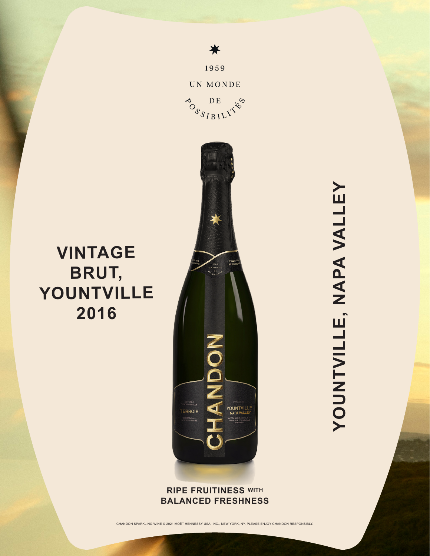

≰

1959

## **RIPE FRUITINESS WITH BALANCED FRESHNESS**

CHANDON SPARKLING WINE © 2021 MOËT HENNESSY USA, INC., NEW YORK, NY. PLEASE ENJOY CHANDON RESPONSIBLY.

YOUNTVILLE, NAPA VALLEY **YOUNTVILLE, NAPA VALLEY**

## **VINTAGE BRUT, YOUNTVILLE 2016**